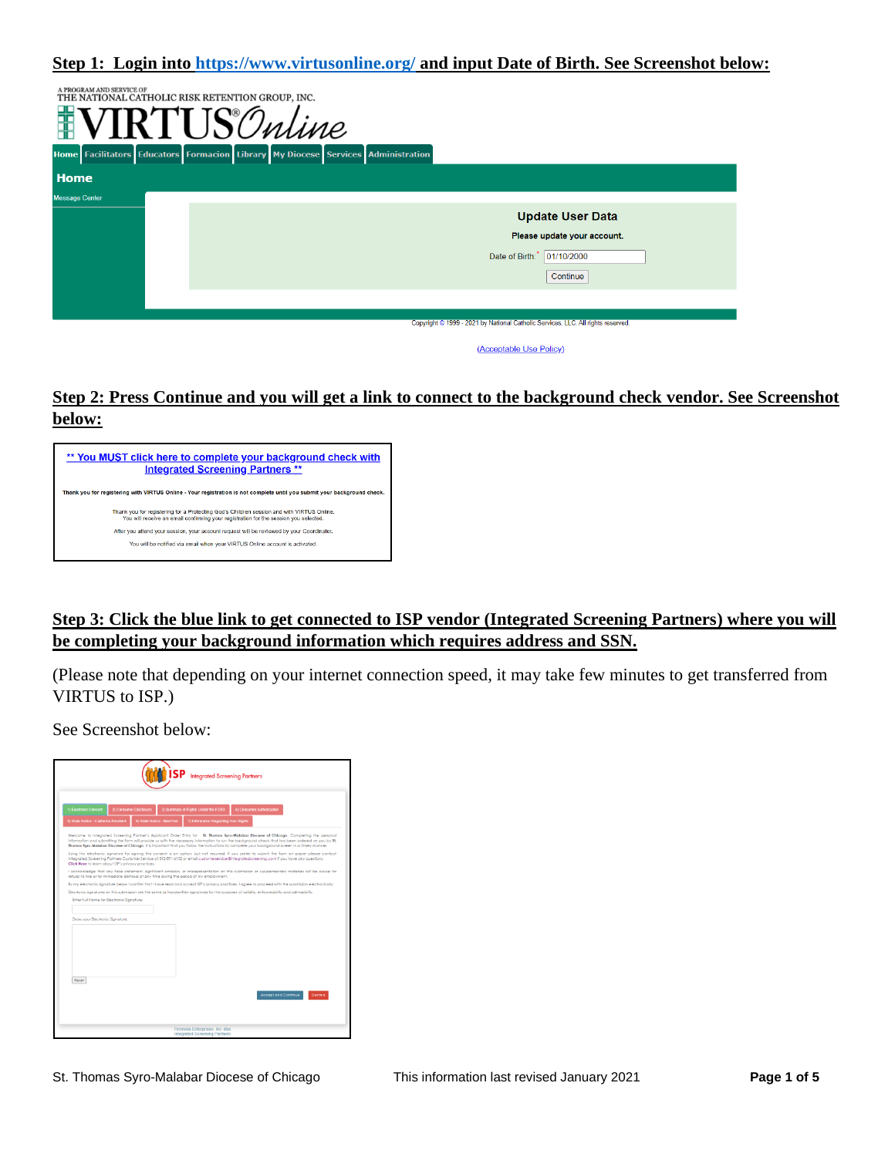**Step 1: Login into<https://www.virtusonline.org/> and input Date of Birth. See Screenshot below:**

| A PROGRAM AND SERVICE OF | THE NATIONAL CATHOLIC RISK RETENTION GROUP, INC.<br>$FTTO^{\circ}$<br>''Inline<br>Home Facilitators Educators Formacion Library My Diocese Services Administration |
|--------------------------|--------------------------------------------------------------------------------------------------------------------------------------------------------------------|
| <b>Home</b>              |                                                                                                                                                                    |
| <b>Message Center</b>    |                                                                                                                                                                    |
|                          | <b>Update User Data</b>                                                                                                                                            |
|                          | Please update your account.                                                                                                                                        |
|                          | Date of Birth: 01/10/2000                                                                                                                                          |
|                          | Continue                                                                                                                                                           |
|                          |                                                                                                                                                                    |
|                          | Copyright @ 1999 - 2021 by National Catholic Services, LLC. All rights reserved.                                                                                   |
|                          | (Acceptable Use Policy)                                                                                                                                            |

## **Step 2: Press Continue and you will get a link to connect to the background check vendor. See Screenshot below:**



## **Step 3: Click the blue link to get connected to ISP vendor (Integrated Screening Partners) where you will be completing your background information which requires address and SSN.**

(Please note that depending on your internet connection speed, it may take few minutes to get transferred from VIRTUS to ISP.)

See Screenshot below:

|                                                                                                                                                  | <b>Integrated Screening Partners</b>                                                                                                                                                                                                                                                                                                                                                                                                                                                                                                                                                                                                                                                                                                                 |
|--------------------------------------------------------------------------------------------------------------------------------------------------|------------------------------------------------------------------------------------------------------------------------------------------------------------------------------------------------------------------------------------------------------------------------------------------------------------------------------------------------------------------------------------------------------------------------------------------------------------------------------------------------------------------------------------------------------------------------------------------------------------------------------------------------------------------------------------------------------------------------------------------------------|
| 1) Electronic Consent<br>2) Consumer Disclosure<br>6) State Notice - New York<br>5) State Notice - California Resident                           | 3) Summary of Rights Under the FCRA<br>4) Consumer Authorization<br>7) Information Regarding Your Rights                                                                                                                                                                                                                                                                                                                                                                                                                                                                                                                                                                                                                                             |
|                                                                                                                                                  | Welcome to Integrated Screening Partner's Applicant Order Entry for 58. Thomas Syro-Malabar Diocese of Chicago. Completing the personal<br>information and submitting the form will provide us with the necessary information to run the background check that has been ordered on you by \$1.<br>Thomas Syro-Malabar Diocese of Chicago. It is important that you follow the instructions to complete your background screen in a timely manner.<br>Using this electronic signature for signing this consent is an option, but not required. If you prefer to submit the form on paper please contact<br>Integrated Screening Partners Customer Service at 512-891-6102 or email customerservice@integratedscreening.com if you have any questions. |
| Click Here to learn about ISP's privacy practices.<br>refusal to hire or for immediate dismissal at any time during the period of my employment. | I acknowledge that any false statement, significant omission, or misrepresentation on this submission or supplementary materials will be cause for<br>By my electronic signature below I confirm that I have read and accept ISP's privacy practices. I agree to proceed with the submission electronically.<br>Electronic signatures on this submission are the same as handwritten signatures for the purposes of validity, enforceability and admissibility.                                                                                                                                                                                                                                                                                      |
| Enter Full Name for Electronic Signature:                                                                                                        |                                                                                                                                                                                                                                                                                                                                                                                                                                                                                                                                                                                                                                                                                                                                                      |
| Draw your Electronic Signature.                                                                                                                  |                                                                                                                                                                                                                                                                                                                                                                                                                                                                                                                                                                                                                                                                                                                                                      |
|                                                                                                                                                  |                                                                                                                                                                                                                                                                                                                                                                                                                                                                                                                                                                                                                                                                                                                                                      |
| Reset                                                                                                                                            | <b>Accept and Continue</b><br>Decline                                                                                                                                                                                                                                                                                                                                                                                                                                                                                                                                                                                                                                                                                                                |
|                                                                                                                                                  |                                                                                                                                                                                                                                                                                                                                                                                                                                                                                                                                                                                                                                                                                                                                                      |
|                                                                                                                                                  | Promesa Enterprises, Inc. dba<br>Integrated Screening Partners                                                                                                                                                                                                                                                                                                                                                                                                                                                                                                                                                                                                                                                                                       |

St. Thomas Syro-Malabar Diocese of Chicago This information last revised January 2021 **Page 1 of 5**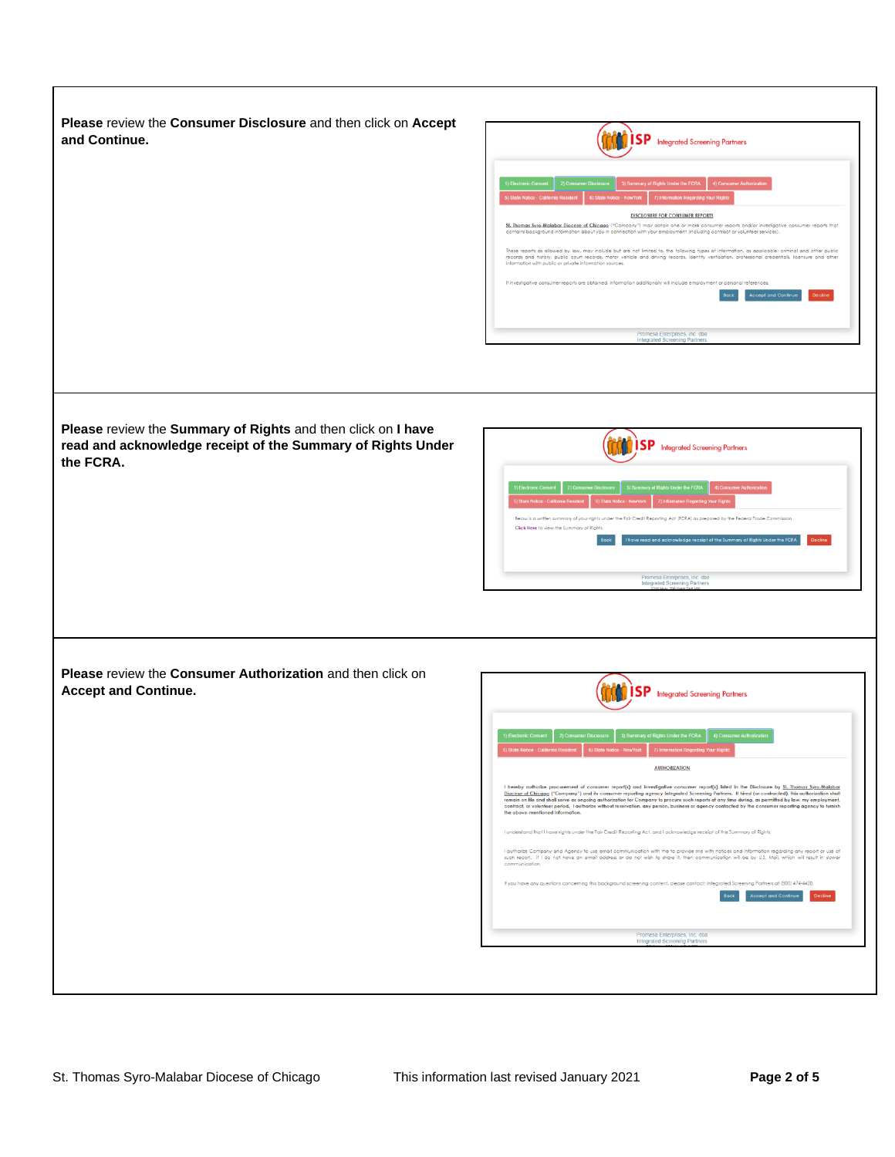**Please** review the **Consumer Disclosure** and then click on **Accept and Continue.** 



**Please** review the **Summary of Rights** and then click on **I have read and acknowledge receipt of the Summary of Rights Under the FCRA.** 



**Please** review the **Consumer Authorization** and then click on **Accept and Continue.** 

| 1) Electronic Consent                 | 2) Consumer Disclosure |                            | 3) Summary of Rights Under the FCRA  | 4) Consumer Authorization |                                                                                                                                                                                                                                                                                                |
|---------------------------------------|------------------------|----------------------------|--------------------------------------|---------------------------|------------------------------------------------------------------------------------------------------------------------------------------------------------------------------------------------------------------------------------------------------------------------------------------------|
| 5) State Notice - California Resident |                        | 6) State Notice - New York | 7) Information Regarding Your Rights |                           |                                                                                                                                                                                                                                                                                                |
|                                       |                        |                            | <b>AUTHORIZATION</b>                 |                           |                                                                                                                                                                                                                                                                                                |
| communication                         |                        |                            |                                      |                           | I authorize Company and Agency to use email communication with me to provide me with notices and information regarding any report or use of<br>such report. If I do not have an email address or do not wish to share it, then communication will be by U.S. Mail, which will result in slower |
|                                       |                        |                            |                                      |                           | If you have any questions concerning this background screening content, please contact; Integrated Screening Partners at (800) 474-4420,                                                                                                                                                       |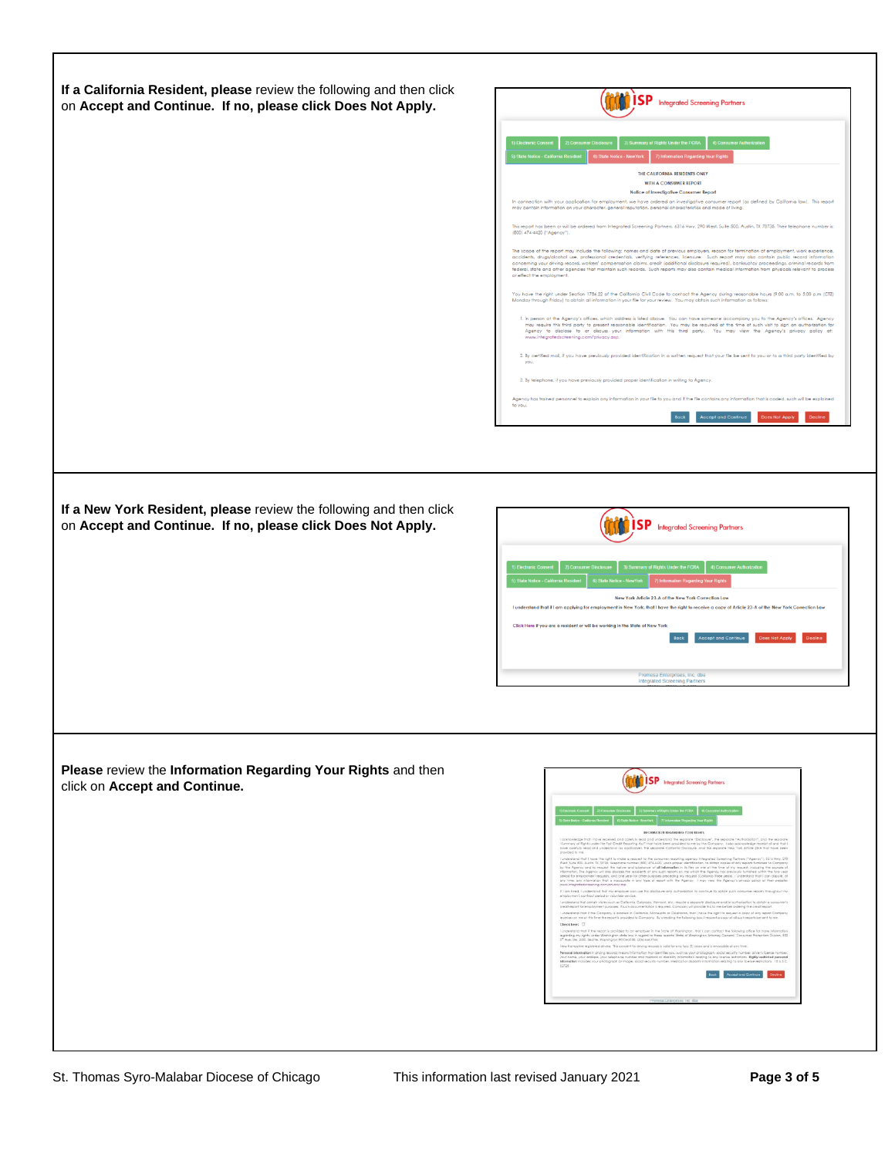| on Accept and Continue. If no, please click Does Not Apply.                                   | <b>ISP</b> Integrated Screening Partners                                                                                                                                                                                                                                                                                                                                                                                                                                                                                                                                                                                                                                                                                                                                |
|-----------------------------------------------------------------------------------------------|-------------------------------------------------------------------------------------------------------------------------------------------------------------------------------------------------------------------------------------------------------------------------------------------------------------------------------------------------------------------------------------------------------------------------------------------------------------------------------------------------------------------------------------------------------------------------------------------------------------------------------------------------------------------------------------------------------------------------------------------------------------------------|
|                                                                                               |                                                                                                                                                                                                                                                                                                                                                                                                                                                                                                                                                                                                                                                                                                                                                                         |
|                                                                                               | 4) Consumer Authorizatio<br>) Summary of Rights Under the FCRA                                                                                                                                                                                                                                                                                                                                                                                                                                                                                                                                                                                                                                                                                                          |
|                                                                                               | THE CALIFORNIA RESIDENTS ONLY<br>WITH A CONSUMER REPORT                                                                                                                                                                                                                                                                                                                                                                                                                                                                                                                                                                                                                                                                                                                 |
|                                                                                               | Notice of Investigative Consumer Report<br>In connection with your application for employment, we have ordered an investigative consumer report (as defined by California law). This report                                                                                                                                                                                                                                                                                                                                                                                                                                                                                                                                                                             |
|                                                                                               | may contain information on your character, general reputation, personal characteristics and mode of living.<br>This report has been or will be ordered from Integrated Screening Partners, 6316 Hwy. 290 West, Suite 500, Austin, TX 78735. Their telephone number is:                                                                                                                                                                                                                                                                                                                                                                                                                                                                                                  |
|                                                                                               | (800) 474-4420 ["Agency"].<br>The scope of the report may include the following; names and date of previous employers, reason for termination of employment, work experience,                                                                                                                                                                                                                                                                                                                                                                                                                                                                                                                                                                                           |
|                                                                                               | accidents, drugs/alcohol use, professional credentials, verifying references, licensure. Such report may also contain public record information<br>concerning your driving record, workers' compensation claims, credit (additional disclosure required), bankruptcy proceedings, criminal records from<br>federal, state and other agencies that maintain such records. Such reports may also contain medical information from physicals relevant to process<br>or effect the employment.                                                                                                                                                                                                                                                                              |
|                                                                                               | You have the right under Section 1786.22 of the California Civil Code to contact the Agency during reasonable hours (9:00 a.m. to 5:00 p.m (CTZ)<br>Monday through Friday) to obtain all information in your file for your review. You may obtain such information as follows:                                                                                                                                                                                                                                                                                                                                                                                                                                                                                          |
|                                                                                               | 1. In person at the Agency's offices, which address is listed above. You can have someone accompany you to the Agency's offices. Agency<br>may require this third party to present reasonable identification. You may be required at the time of such visit to sign an authorization for<br>Agency to disclose to or discuss your information with this third party. You may view the Agency's privacy policy at:<br>www.integratedscreening.com/privacy.asp.                                                                                                                                                                                                                                                                                                           |
|                                                                                               | 2. By certified mail, if you have previously provided identification in a written request that your file be sent to you or to a third party identified by<br>you                                                                                                                                                                                                                                                                                                                                                                                                                                                                                                                                                                                                        |
|                                                                                               | 3. By telephone, if you have previously provided proper identification in writing to Agency.                                                                                                                                                                                                                                                                                                                                                                                                                                                                                                                                                                                                                                                                            |
|                                                                                               | Agency has trained personnel to explain any information in your file to you and if the file contains any information that is coded, such will be explained<br>to you.                                                                                                                                                                                                                                                                                                                                                                                                                                                                                                                                                                                                   |
|                                                                                               | Accept and Continue<br><b>Does Not Apply</b>                                                                                                                                                                                                                                                                                                                                                                                                                                                                                                                                                                                                                                                                                                                            |
| on Accept and Continue. If no, please click Does Not Apply.                                   | SP                                                                                                                                                                                                                                                                                                                                                                                                                                                                                                                                                                                                                                                                                                                                                                      |
|                                                                                               | <b>Integrated Screening Partners</b>                                                                                                                                                                                                                                                                                                                                                                                                                                                                                                                                                                                                                                                                                                                                    |
|                                                                                               | New York Article 23-A of the New York Correction Law                                                                                                                                                                                                                                                                                                                                                                                                                                                                                                                                                                                                                                                                                                                    |
|                                                                                               | I understand that if I am applying for employment in New York, that I have the right to receive a copy of Article 23-A of the New York Correction Law                                                                                                                                                                                                                                                                                                                                                                                                                                                                                                                                                                                                                   |
|                                                                                               | Click Here if you are a resident or will be working in the State of New York<br>coept and Contini                                                                                                                                                                                                                                                                                                                                                                                                                                                                                                                                                                                                                                                                       |
|                                                                                               | Promesa Enterprises, Inc. dba<br>Integrated Screening Partners                                                                                                                                                                                                                                                                                                                                                                                                                                                                                                                                                                                                                                                                                                          |
|                                                                                               |                                                                                                                                                                                                                                                                                                                                                                                                                                                                                                                                                                                                                                                                                                                                                                         |
| Please review the Information Regarding Your Rights and then<br>click on Accept and Continue. | <b>ISP</b> Integrated Screening Partners                                                                                                                                                                                                                                                                                                                                                                                                                                                                                                                                                                                                                                                                                                                                |
|                                                                                               | Librar Bu FCRA                                                                                                                                                                                                                                                                                                                                                                                                                                                                                                                                                                                                                                                                                                                                                          |
|                                                                                               | INFORMATION REGARDING YOUR RIGHTS.<br>I asknowledge that I have received and carefuly read and understand the separate "Distause", the separate "Authorsofon", and the separate<br>"Authristy of light under the fair Chad Reporting Act" hat have been produced one by<br>provided to me.                                                                                                                                                                                                                                                                                                                                                                                                                                                                              |
|                                                                                               |                                                                                                                                                                                                                                                                                                                                                                                                                                                                                                                                                                                                                                                                                                                                                                         |
|                                                                                               | ), mandale del Lisso III a del Simila a mandi fili di concern resulta specie Nepales Consider Melen (1944-1911), SU (1991-20), SU (1991-20), SU (1991-20), SU (1991-20), SU (1991-20), SU (1991-20), SU (1991-20), SU (1991-2<br>www.integrotedscreening.com/privacy.gup-<br>If I am hired. I understand that my employer can use this disclosure and authorization to continue to abitain such porsumer reports throughout my<br>employment, conhocf period or volunteer service.                                                                                                                                                                                                                                                                                      |
|                                                                                               | lundestand that certain states such as California. Colorada, Vermont, etc., require a secarate disclosive and/or authorization to obtain a consumer's<br>credifirepart for employment purposes. If such documentation is required<br>I understand that if the Company is located in Collomia, Minnesoto or Oldshoma, that I have the right to request a copy of any report Compan<br>receives on me at the time the regart is provided to Company. By ohecking the following bax, I request a papy of all such requirts be sent to me.                                                                                                                                                                                                                                  |
|                                                                                               | Check here:<br>I understand that if the report is provided to on employer in the Stote of Washington, that I can contact the following office for more is                                                                                                                                                                                                                                                                                                                                                                                                                                                                                                                                                                                                               |
|                                                                                               | regerding my rights under Washington state law in regard to these reports; State of Washington Attorney Ceneral, Consumer Protection Division, 800<br>5 <sup>17</sup> Ave, Ste. 2000, Seattle, Wostington 95/04-3165, (206) 464-7744.<br>New Hampshire registered drivers: The consent for driving records is valid for only two (2) years and is revocable at any time.<br>Penanal information in diving records means information that identifies you, such as your photograph, social security number, driver's license number,<br>your name, your address, your telephone number and medical or disabilit<br>Information includes your photograph or image, social security number, medical or disability information relating to any Scene restrictions. 18 U.S.C. |
|                                                                                               | 62725.<br><b>Book Accept and Continue Decline</b>                                                                                                                                                                                                                                                                                                                                                                                                                                                                                                                                                                                                                                                                                                                       |

 $\Gamma$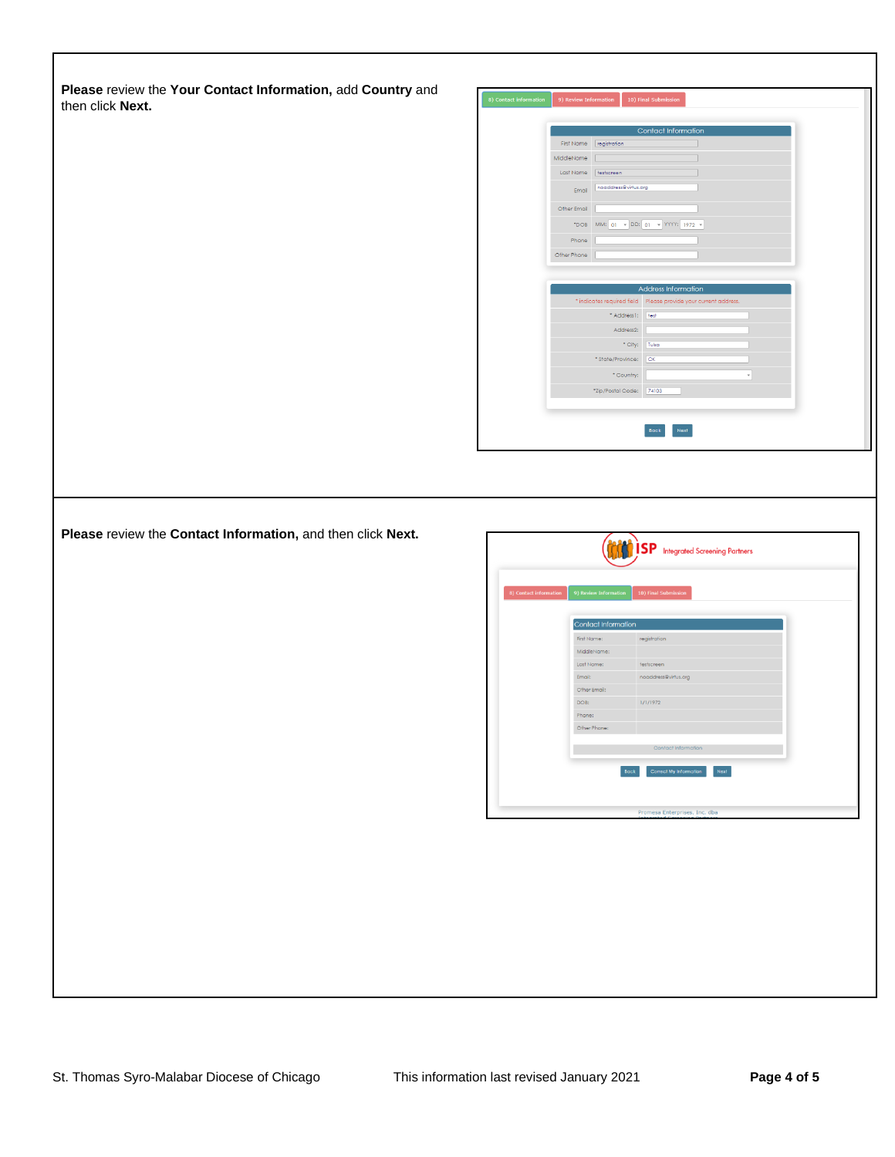**Please** review the **Your Contact Information,** add **Country** and then click **Next.** 



**Please** review the **Contact Information,** and then click **Next.**